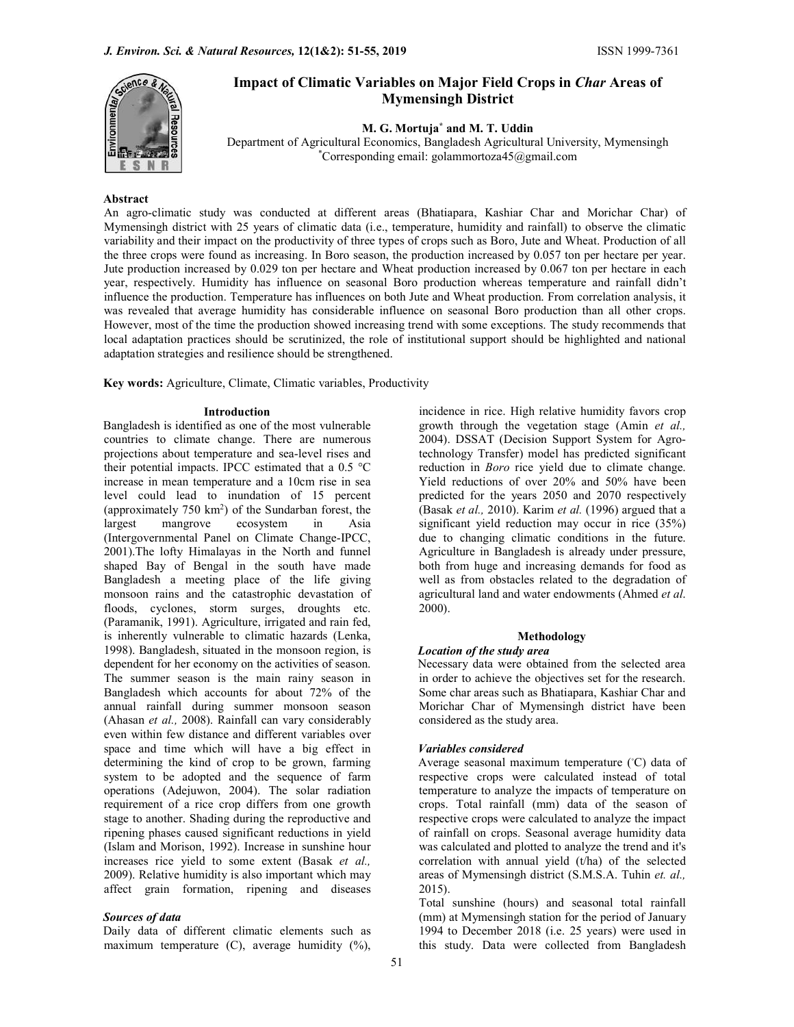

# Impact of Climatic Variables on Major Field Crops in Char Areas of Mymensingh District

M. G. Mortuja\* and M. T. Uddin

Department of Agricultural Economics, Bangladesh Agricultural University, Mymensingh \*Corresponding email: golammortoza45@gmail.com

## Abstract

An agro-climatic study was conducted at different areas (Bhatiapara, Kashiar Char and Morichar Char) of Mymensingh district with 25 years of climatic data (i.e., temperature, humidity and rainfall) to observe the climatic variability and their impact on the productivity of three types of crops such as Boro, Jute and Wheat. Production of all the three crops were found as increasing. In Boro season, the production increased by 0.057 ton per hectare per year. Jute production increased by 0.029 ton per hectare and Wheat production increased by 0.067 ton per hectare in each year, respectively. Humidity has influence on seasonal Boro production whereas temperature and rainfall didn't influence the production. Temperature has influences on both Jute and Wheat production. From correlation analysis, it was revealed that average humidity has considerable influence on seasonal Boro production than all other crops. However, most of the time the production showed increasing trend with some exceptions. The study recommends that local adaptation practices should be scrutinized, the role of institutional support should be highlighted and national adaptation strategies and resilience should be strengthened.

Key words: Agriculture, Climate, Climatic variables, Productivity

Bangladesh is identified as one of the most vulnerable countries to climate change. There are numerous projections about temperature and sea-level rises and their potential impacts. IPCC estimated that a 0.5 °C increase in mean temperature and a 10cm rise in sea level could lead to inundation of 15 percent (approximately  $750 \text{ km}^2$ ) of the Sundarban forest, the (Basak et al largest mangrove ecosystem in Asia significant yield reduction may occur in rice (35%) (Intergovernmental Panel on Climate Change-IPCC, 2001).The lofty Himalayas in the North and funnel shaped Bay of Bengal in the south have made Bangladesh a meeting place of the life giving monsoon rains and the catastrophic devastation of floods, cyclones, storm surges, droughts etc. 2000). (Paramanik, 1991). Agriculture, irrigated and rain fed, is inherently vulnerable to climatic hazards (Lenka, 1998). Bangladesh, situated in the monsoon region, is dependent for her economy on the activities of season. The summer season is the main rainy season in Bangladesh which accounts for about 72% of the annual rainfall during summer monsoon season (Ahasan et al., 2008). Rainfall can vary considerably even within few distance and different variables over space and time which will have a big effect in determining the kind of crop to be grown, farming system to be adopted and the sequence of farm operations (Adejuwon, 2004). The solar radiation requirement of a rice crop differs from one growth stage to another. Shading during the reproductive and ripening phases caused significant reductions in yield (Islam and Morison, 1992). Increase in sunshine hour increases rice yield to some extent (Basak et al., 2009). Relative humidity is also important which may affect grain formation, ripening and diseases

#### Sources of data

Daily data of different climatic elements such as maximum temperature (C), average humidity (%),

**Introduction incidence** in rice. High relative humidity favors crop growth through the vegetation stage (Amin et al., 2004). DSSAT (Decision Support System for Agrotechnology Transfer) model has predicted significant reduction in *Boro* rice yield due to climate change. Yield reductions of over 20% and 50% have been predicted for the years 2050 and 2070 respectively (Basak et al., 2010). Karim et al. (1996) argued that a due to changing climatic conditions in the future. Agriculture in Bangladesh is already under pressure, both from huge and increasing demands for food as well as from obstacles related to the degradation of agricultural land and water endowments (Ahmed et al.

### Methodology

#### Location of the study area

Necessary data were obtained from the selected area in order to achieve the objectives set for the research. Some char areas such as Bhatiapara, Kashiar Char and Morichar Char of Mymensingh district have been considered as the study area.

#### Variables considered

Average seasonal maximum temperature (◦C) data of respective crops were calculated instead of total temperature to analyze the impacts of temperature on crops. Total rainfall (mm) data of the season of respective crops were calculated to analyze the impact of rainfall on crops. Seasonal average humidity data was calculated and plotted to analyze the trend and it's correlation with annual yield (t/ha) of the selected areas of Mymensingh district (S.M.S.A. Tuhin et. al., 2015).

Total sunshine (hours) and seasonal total rainfall (mm) at Mymensingh station for the period of January 1994 to December 2018 (i.e. 25 years) were used in this study. Data were collected from Bangladesh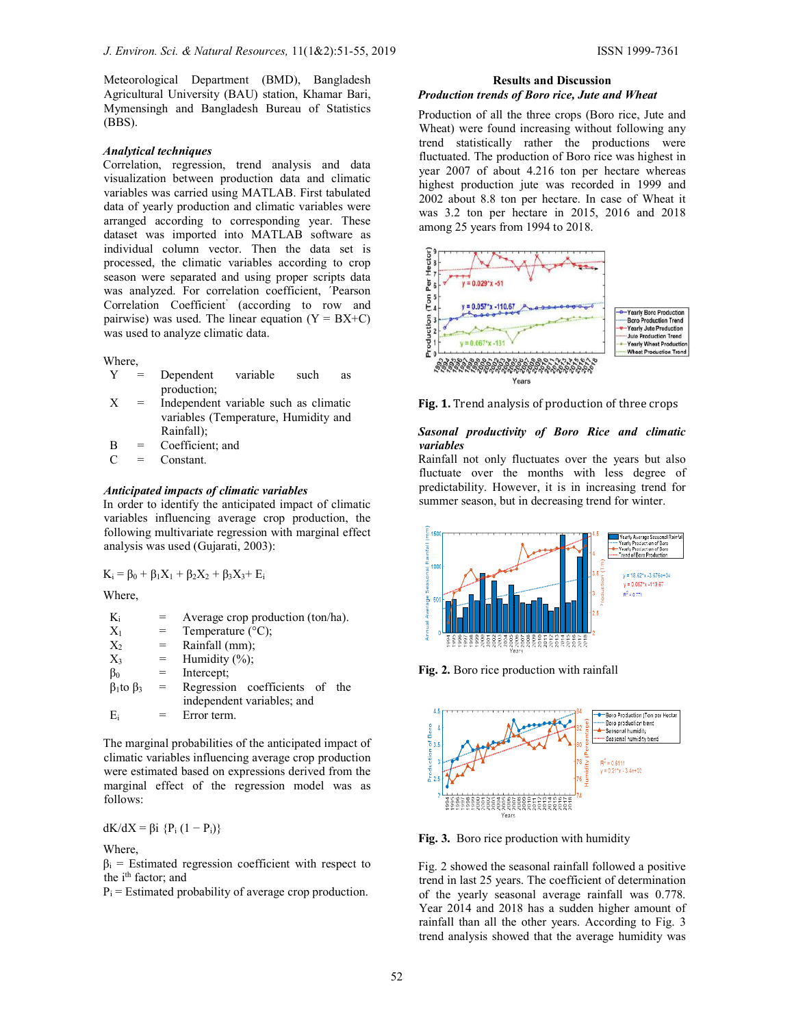Meteorological Department (BMD), Bangladesh Agricultural University (BAU) station, Khamar Bari, Mymensingh and Bangladesh Bureau of Statistics (BBS).

# Analytical techniques

Correlation, regression, trend analysis and data visualization between production data and climatic variables was carried using MATLAB. First tabulated data of yearly production and climatic variables were arranged according to corresponding year. These dataset was imported into MATLAB software as individual column vector. Then the data set is processed, the climatic variables according to crop season were separated and using proper scripts data was analyzed. For correlation coefficient, *'Pearson* Correlation Coefficient' (according to row and pairwise) was used. The linear equation  $(Y = BX+C)$ was used to analyze climatic data.

Where,

- Y = Dependent variable such as production;
- $X =$  Independent variable such as climatic variables (Temperature, Humidity and Rainfall);
- B = Coefficient; and

 $C =$  Constant.

## Anticipated impacts of climatic variables

In order to identify the anticipated impact of climatic variables influencing average crop production, the following multivariate regression with marginal effect analysis was used (Gujarati, 2003):

 $K_i = \beta_0 + \beta_1 X_1 + \beta_2 X_2 + \beta_3 X_3 + E_i$ 

Where,

 $K_i$  = Average crop production (ton/ha).  $X_1$  = Temperature (°C);  $X_2$  = Rainfall (mm);<br> $X_3$  = Humidity (%);  $=$  Humidity  $(\%);$  $\beta_0$  = Intercept;  $β<sub>1</sub>$ to  $β<sub>3</sub> =$  Regression coefficients of the independent variables; and  $E_i$  = Error term.

The marginal probabilities of the anticipated impact of climatic variables influencing average crop production were estimated based on expressions derived from the marginal effect of the regression model was as follows:

dK/dX = βi {P<sub>i</sub> (1 – P<sub>i</sub>)}

Where,

 $\beta_i$  = Estimated regression coefficient with respect to the i<sup>th</sup> factor; and

 $P_i$  = Estimated probability of average crop production.

#### Results and Discussion Production trends of Boro rice, Jute and Wheat

Production of all the three crops (Boro rice, Jute and Wheat) were found increasing without following any trend statistically rather the productions were fluctuated. The production of Boro rice was highest in year 2007 of about 4.216 ton per hectare whereas highest production jute was recorded in 1999 and 2002 about 8.8 ton per hectare. In case of Wheat it was 3.2 ton per hectare in 2015, 2016 and 2018 among 25 years from 1994 to 2018.





# Sasonal productivity of Boro Rice and climatic variables

Rainfall not only fluctuates over the years but also fluctuate over the months with less degree of predictability. However, it is in increasing trend for summer season, but in decreasing trend for winter.







Fig. 3. Boro rice production with humidity

Fig. 2 showed the seasonal rainfall followed a positive trend in last 25 years. The coefficient of determination of the yearly seasonal average rainfall was 0.778. Year 2014 and 2018 has a sudden higher amount of rainfall than all the other years. According to Fig. 3 trend analysis showed that the average humidity was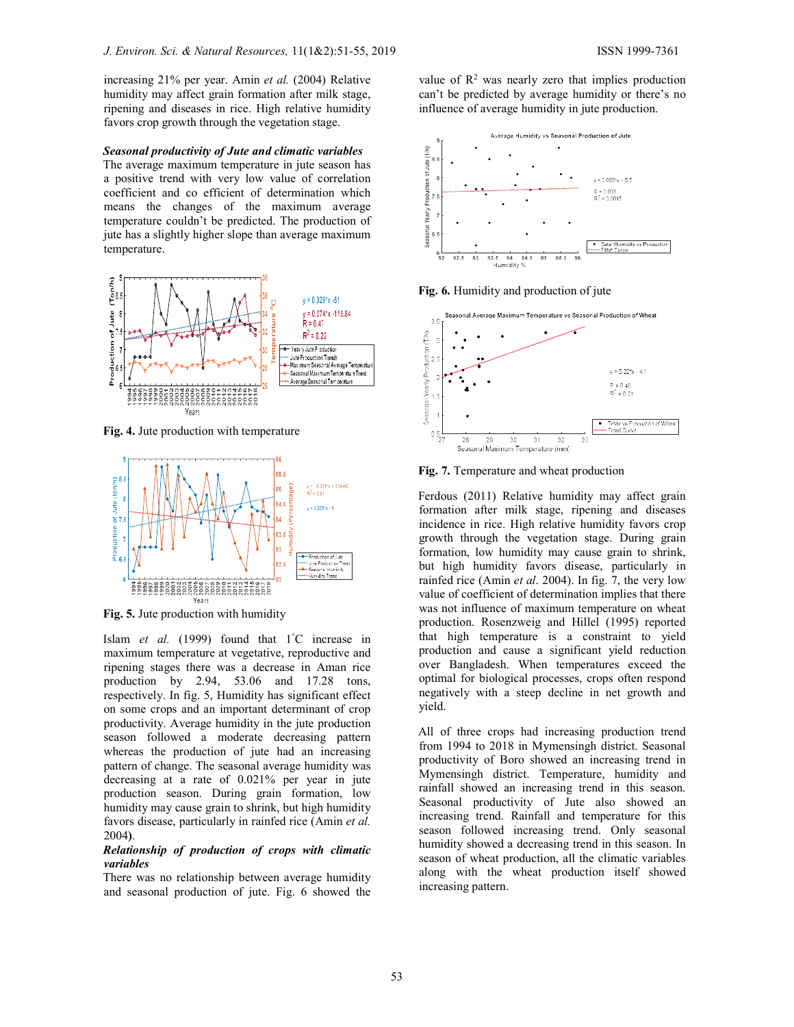increasing 21% per year. Amin et al. (2004) Relative humidity may affect grain formation after milk stage, ripening and diseases in rice. High relative humidity favors crop growth through the vegetation stage.

Seasonal productivity of Jute and climatic variables The average maximum temperature in jute season has a positive trend with very low value of correlation coefficient and co efficient of determination which means the changes of the maximum average temperature couldn't be predicted. The production of jute has a slightly higher slope than average maximum temperature.



Fig. 4. Jute production with temperature



Fig. 5. Jute production with humidity

Islam *et al.* (1999) found that  $1^{\circ}$ C increase in maximum temperature at vegetative, reproductive and ripening stages there was a decrease in Aman rice production by 2.94, 53.06 and 17.28 tons, respectively. In fig. 5, Humidity has significant effect on some crops and an important determinant of crop productivity. Average humidity in the jute production season followed a moderate decreasing pattern whereas the production of jute had an increasing pattern of change. The seasonal average humidity was decreasing at a rate of 0.021% per year in jute production season. During grain formation, low humidity may cause grain to shrink, but high humidity favors disease, particularly in rainfed rice (Amin et al. 2004).

### Relationship of production of crops with climatic variables

There was no relationship between average humidity and seasonal production of jute. Fig. 6 showed the

value of  $\mathbb{R}^2$  was nearly zero that implies production can't be predicted by average humidity or there's no influence of average humidity in jute production.



Fig. 6. Humidity and production of jute



Fig. 7. Temperature and wheat production

Ferdous (2011) Relative humidity may affect grain formation after milk stage, ripening and diseases incidence in rice. High relative humidity favors crop growth through the vegetation stage. During grain formation, low humidity may cause grain to shrink, but high humidity favors disease, particularly in rainfed rice (Amin et al. 2004). In fig. 7, the very low value of coefficient of determination implies that there was not influence of maximum temperature on wheat production. Rosenzweig and Hillel (1995) reported that high temperature is a constraint to yield production and cause a significant yield reduction over Bangladesh. When temperatures exceed the optimal for biological processes, crops often respond negatively with a steep decline in net growth and yield.

All of three crops had increasing production trend from 1994 to 2018 in Mymensingh district. Seasonal productivity of Boro showed an increasing trend in Mymensingh district. Temperature, humidity and rainfall showed an increasing trend in this season. Seasonal productivity of Jute also showed an increasing trend. Rainfall and temperature for this season followed increasing trend. Only seasonal humidity showed a decreasing trend in this season. In season of wheat production, all the climatic variables along with the wheat production itself showed increasing pattern.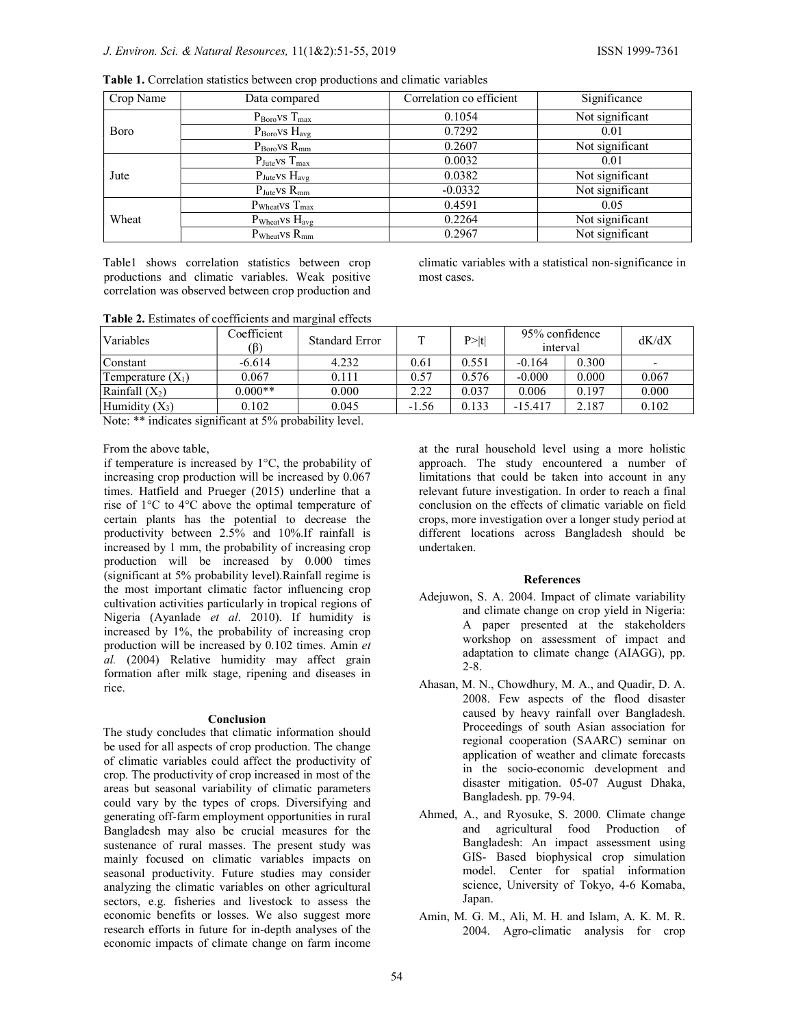| Crop Name | Data compared                         | Correlation co efficient<br>Significance |                 |
|-----------|---------------------------------------|------------------------------------------|-----------------|
|           | $P_{\text{Boro}}$ vs $T_{\text{max}}$ | 0.1054                                   | Not significant |
| Boro      | $P_{\text{Boro}}$ vs $H_{\text{avg}}$ | 0.7292                                   | 0.01            |
|           | $P_{\text{Boro}}$ vs $R_{\text{mm}}$  | 0.2607                                   | Not significant |
| Jute      | $P_{\text{Jute}}$ VS $T_{\text{max}}$ | 0.0032                                   | 0.01            |
|           | $P_{\text{Jute}}$ VS $H_{\text{avg}}$ | 0.0382                                   | Not significant |
|           | $P_{\text{Jute}}$ vs $R_{\text{mm}}$  | $-0.0332$                                | Not significant |
|           | $P_{Wheat}$ vs $T_{max}$              | 0.4591                                   | 0.05            |
| Wheat     | $P_{Wheat}$ VS $H_{avg}$              | 0.2264                                   | Not significant |
|           | $P_{Wheat}$ vs $R_{mm}$               | 0.2967                                   | Not significant |

Table 1. Correlation statistics between crop productions and climatic variables

Table1 shows correlation statistics between crop productions and climatic variables. Weak positive correlation was observed between crop production and climatic variables with a statistical non-significance in most cases.

|  | Table 2. Estimates of coefficients and marginal effects |  |
|--|---------------------------------------------------------|--|
|  |                                                         |  |

| Variables           | Coefficient<br>(ß) | <b>Standard Error</b> | $\mathbf{r}$ | P >  t | 95% confidence<br>interval |       | dK/dX |
|---------------------|--------------------|-----------------------|--------------|--------|----------------------------|-------|-------|
| Constant            | $-6.614$           | 4.232                 | 0.61         | 0.551  | $-0.164$                   | 0.300 |       |
| Temperature $(X_1)$ | 0.067              | 0.111                 | 0.57         | 0.576  | $-0.000$                   | 0.000 | 0.067 |
| Rainfall $(X_2)$    | $0.000**$          | 0.000                 | 2.22         | 0.037  | 0.006                      | 0.197 | 0.000 |
| Humidity $(X_3)$    | 0.102              | 0.045                 | $-1.56$      | 0.133  | $-15.417$                  | 2.187 | 0.102 |

Note: \*\* indicates significant at 5% probability level.

From the above table,

if temperature is increased by 1°C, the probability of increasing crop production will be increased by 0.067 times. Hatfield and Prueger (2015) underline that a rise of 1°C to 4°C above the optimal temperature of certain plants has the potential to decrease the productivity between 2.5% and 10%.If rainfall is increased by 1 mm, the probability of increasing crop production will be increased by 0.000 times (significant at 5% probability level).Rainfall regime is the most important climatic factor influencing crop cultivation activities particularly in tropical regions of Nigeria (Ayanlade et al. 2010). If humidity is increased by 1%, the probability of increasing crop production will be increased by 0.102 times. Amin et al. (2004) Relative humidity may affect grain formation after milk stage, ripening and diseases in rice.

## Conclusion

The study concludes that climatic information should be used for all aspects of crop production. The change of climatic variables could affect the productivity of crop. The productivity of crop increased in most of the areas but seasonal variability of climatic parameters could vary by the types of crops. Diversifying and generating off-farm employment opportunities in rural Bangladesh may also be crucial measures for the sustenance of rural masses. The present study was mainly focused on climatic variables impacts on seasonal productivity. Future studies may consider analyzing the climatic variables on other agricultural sectors, e.g. fisheries and livestock to assess the economic benefits or losses. We also suggest more research efforts in future for in-depth analyses of the economic impacts of climate change on farm income at the rural household level using a more holistic approach. The study encountered a number of limitations that could be taken into account in any relevant future investigation. In order to reach a final conclusion on the effects of climatic variable on field crops, more investigation over a longer study period at different locations across Bangladesh should be undertaken.

# References

- Adejuwon, S. A. 2004. Impact of climate variability and climate change on crop yield in Nigeria: A paper presented at the stakeholders workshop on assessment of impact and adaptation to climate change (AIAGG), pp. 2-8.
- Ahasan, M. N., Chowdhury, M. A., and Quadir, D. A. 2008. Few aspects of the flood disaster caused by heavy rainfall over Bangladesh. Proceedings of south Asian association for regional cooperation (SAARC) seminar on application of weather and climate forecasts in the socio-economic development and disaster mitigation. 05-07 August Dhaka, Bangladesh. pp. 79-94.
- Ahmed, A., and Ryosuke, S. 2000. Climate change and agricultural food Production of Bangladesh: An impact assessment using GIS- Based biophysical crop simulation model. Center for spatial information science, University of Tokyo, 4-6 Komaba, Japan.
- Amin, M. G. M., Ali, M. H. and Islam, A. K. M. R. 2004. Agro-climatic analysis for crop